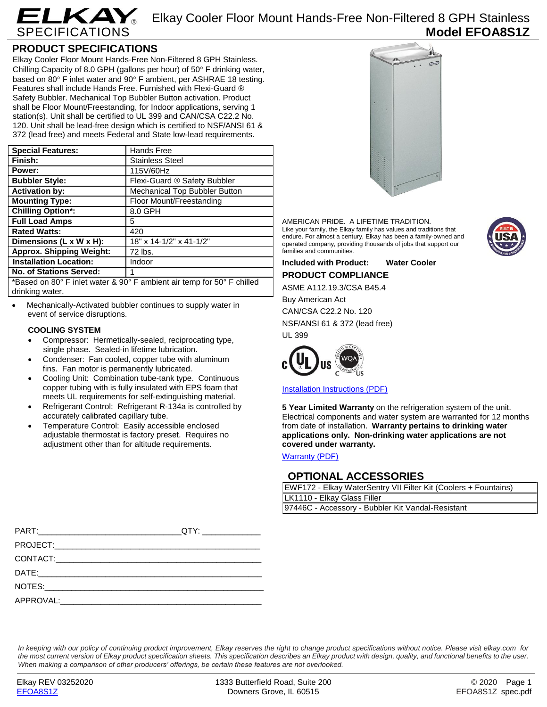

Elkay Cooler Floor Mount Hands-Free Non-Filtered 8 GPH Stainless **Model EFOA8S1Z**

## **PRODUCT SPECIFICATIONS**

Elkay Cooler Floor Mount Hands-Free Non-Filtered 8 GPH Stainless. Chilling Capacity of 8.0 GPH (gallons per hour) of  $50^\circ$  F drinking water, based on 80 $\degree$  F inlet water and 90 $\degree$  F ambient, per ASHRAE 18 testing. Features shall include Hands Free. Furnished with Flexi-Guard ® Safety Bubbler. Mechanical Top Bubbler Button activation. Product shall be Floor Mount/Freestanding, for Indoor applications, serving 1 station(s). Unit shall be certified to UL 399 and CAN/CSA C22.2 No. 120. Unit shall be lead-free design which is certified to NSF/ANSI 61 & 372 (lead free) and meets Federal and State low-lead requirements.

| <b>Special Features:</b>                                                     | Hands Free                    |  |
|------------------------------------------------------------------------------|-------------------------------|--|
| Finish:                                                                      | <b>Stainless Steel</b>        |  |
| Power:                                                                       | 115V/60Hz                     |  |
| <b>Bubbler Style:</b>                                                        | Flexi-Guard ® Safety Bubbler  |  |
| <b>Activation by:</b>                                                        | Mechanical Top Bubbler Button |  |
| <b>Mounting Type:</b>                                                        | Floor Mount/Freestanding      |  |
| <b>Chilling Option*:</b>                                                     | 8.0 GPH                       |  |
| <b>Full Load Amps</b>                                                        | 5                             |  |
| <b>Rated Watts:</b>                                                          | 420                           |  |
| Dimensions (L x W x H):                                                      | 18" x 14-1/2" x 41-1/2"       |  |
| <b>Approx. Shipping Weight:</b>                                              | 72 lbs.                       |  |
| <b>Installation Location:</b>                                                | Indoor                        |  |
| <b>No. of Stations Served:</b>                                               |                               |  |
| *Dogod on $000$ E inlet water $9,000$ E ombient oir temp for $500$ E obilied |                               |  |

Based on 80° F inlet water & 90° F ambient air temp for 50° F chilled drinking water.

 Mechanically-Activated bubbler continues to supply water in event of service disruptions.

## **COOLING SYSTEM**

- Compressor: Hermetically-sealed, reciprocating type, single phase. Sealed-in lifetime lubrication.
- Condenser: Fan cooled, copper tube with aluminum fins. Fan motor is permanently lubricated.
- Cooling Unit: Combination tube-tank type. Continuous copper tubing with is fully insulated with EPS foam that meets UL requirements for self-extinguishing material.
- Refrigerant Control: Refrigerant R-134a is controlled by accurately calibrated capillary tube.
- Temperature Control: Easily accessible enclosed adjustable thermostat is factory preset. Requires no adjustment other than for altitude requirements.



AMERICAN PRIDE. A LIFETIME TRADITION. Like your family, the Elkay family has values and traditions that endure. For almost a century, Elkay has been a family-owned and operated company, providing thousands of jobs that support our families and communities.



## **Included with Product: Water Cooler PRODUCT COMPLIANCE**

ASME A112.19.3/CSA B45.4

Buy American Act CAN/CSA C22.2 No. 120 NSF/ANSI 61 & 372 (lead free) UL 399



[Installation Instructions \(PDF\)](http://www.elkayfiles.com/care-cleaning-install-warranty-sheets/98974c.pdf)

**5 Year Limited Warranty** on the refrigeration system of the unit. Electrical components and water system are warranted for 12 months from date of installation. **Warranty pertains to drinking water applications only. Non-drinking water applications are not covered under warranty.**

[Warranty](http://www.elkayfiles.com/care-cleaning-install-warranty-sheets/96993c.pdf) (PDF)

## **OPTIONAL ACCESSORIES**

| EWF172 - Elkay WaterSentry VII Filter Kit (Coolers + Fountains) |  |
|-----------------------------------------------------------------|--|
| LK1110 - Elkay Glass Filler                                     |  |
| 97446C - Accessory - Bubbler Kit Vandal-Resistant               |  |
|                                                                 |  |

| QTY: ________________ |
|-----------------------|
|                       |
|                       |
|                       |
|                       |
|                       |

*In keeping with our policy of continuing product improvement, Elkay reserves the right to change product specifications without notice. Please visit elkay.com for the most current version of Elkay product specification sheets. This specification describes an Elkay product with design, quality, and functional benefits to the user. When making a comparison of other producers' offerings, be certain these features are not overlooked.*